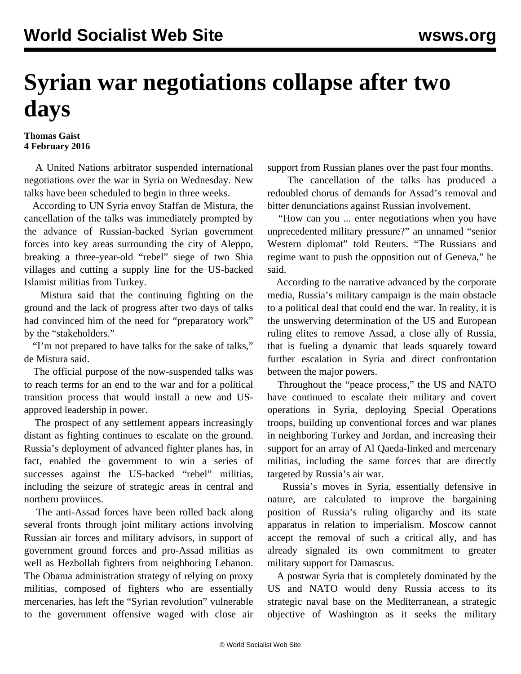## **Syrian war negotiations collapse after two days**

## **Thomas Gaist 4 February 2016**

 A United Nations arbitrator suspended international negotiations over the war in Syria on Wednesday. New talks have been scheduled to begin in three weeks.

 According to UN Syria envoy Staffan de Mistura, the cancellation of the talks was immediately prompted by the advance of Russian-backed Syrian government forces into key areas surrounding the city of Aleppo, breaking a three-year-old "rebel" siege of two Shia villages and cutting a supply line for the US-backed Islamist militias from Turkey.

 Mistura said that the continuing fighting on the ground and the lack of progress after two days of talks had convinced him of the need for "preparatory work" by the "stakeholders."

 "I'm not prepared to have talks for the sake of talks," de Mistura said.

 The official purpose of the now-suspended talks was to reach terms for an end to the war and for a political transition process that would install a new and USapproved leadership in power.

 The prospect of any settlement appears increasingly distant as fighting continues to escalate on the ground. Russia's deployment of advanced fighter planes has, in fact, enabled the government to win a series of successes against the US-backed "rebel" militias, including the seizure of strategic areas in central and northern provinces.

 The anti-Assad forces have been rolled back along several fronts through joint military actions involving Russian air forces and military advisors, in support of government ground forces and pro-Assad militias as well as Hezbollah fighters from neighboring Lebanon. The Obama administration strategy of relying on proxy militias, composed of fighters who are essentially mercenaries, has left the "Syrian revolution" vulnerable to the government offensive waged with close air support from Russian planes over the past four months.

 The cancellation of the talks has produced a redoubled chorus of demands for Assad's removal and bitter denunciations against Russian involvement.

 "How can you ... enter negotiations when you have unprecedented military pressure?" an unnamed "senior Western diplomat" told Reuters. "The Russians and regime want to push the opposition out of Geneva," he said.

 According to the narrative advanced by the corporate media, Russia's military campaign is the main obstacle to a political deal that could end the war. In reality, it is the unswerving determination of the US and European ruling elites to remove Assad, a close ally of Russia, that is fueling a dynamic that leads squarely toward further escalation in Syria and direct confrontation between the major powers.

 Throughout the "peace process," the US and NATO have continued to escalate their military and covert operations in Syria, deploying Special Operations troops, building up conventional forces and war planes in neighboring Turkey and Jordan, and increasing their support for an array of Al Qaeda-linked and mercenary militias, including the same forces that are directly targeted by Russia's air war.

 Russia's moves in Syria, essentially defensive in nature, are calculated to improve the bargaining position of Russia's ruling oligarchy and its state apparatus in relation to imperialism. Moscow cannot accept the removal of such a critical ally, and has already signaled its own commitment to greater military support for Damascus.

 A postwar Syria that is completely dominated by the US and NATO would deny Russia access to its strategic naval base on the Mediterranean, a strategic objective of Washington as it seeks the military